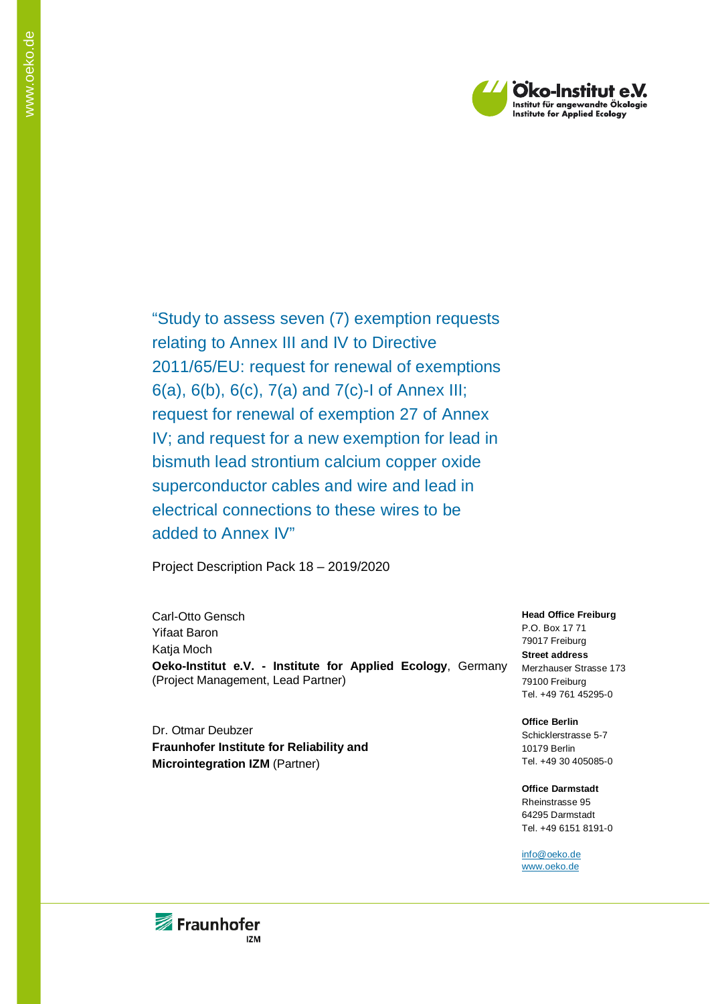

"Study to assess seven (7) exemption requests relating to Annex III and IV to Directive 2011/65/EU: request for renewal of exemptions 6(a), 6(b), 6(c), 7(a) and 7(c)-I of Annex III; request for renewal of exemption 27 of Annex IV; and request for a new exemption for lead in bismuth lead strontium calcium copper oxide superconductor cables and wire and lead in electrical connections to these wires to be added to Annex IV"

Project Description Pack 18 – 2019/2020

Carl-Otto Gensch Yifaat Baron Katja Moch **Oeko-Institut e.V. - Institute for Applied Ecology**, Germany (Project Management, Lead Partner)

Dr. Otmar Deubzer **Fraunhofer Institute for Reliability and Microintegration IZM** (Partner)

**Head Office Freiburg** P.O. Box 17 71 79017 Freiburg **Street address** Merzhauser Strasse 173 79100 Freiburg Tel. +49 761 45295-0

**Office Berlin** Schicklerstrasse 5-7 10179 Berlin Tel. +49 30 405085-0

**Office Darmstadt** Rheinstrasse 95 64295 Darmstadt Tel. +49 6151 8191-0

[info@oeko.de](mailto:info@oeko.de) [www.oeko.de](http://www.oeko.de/)

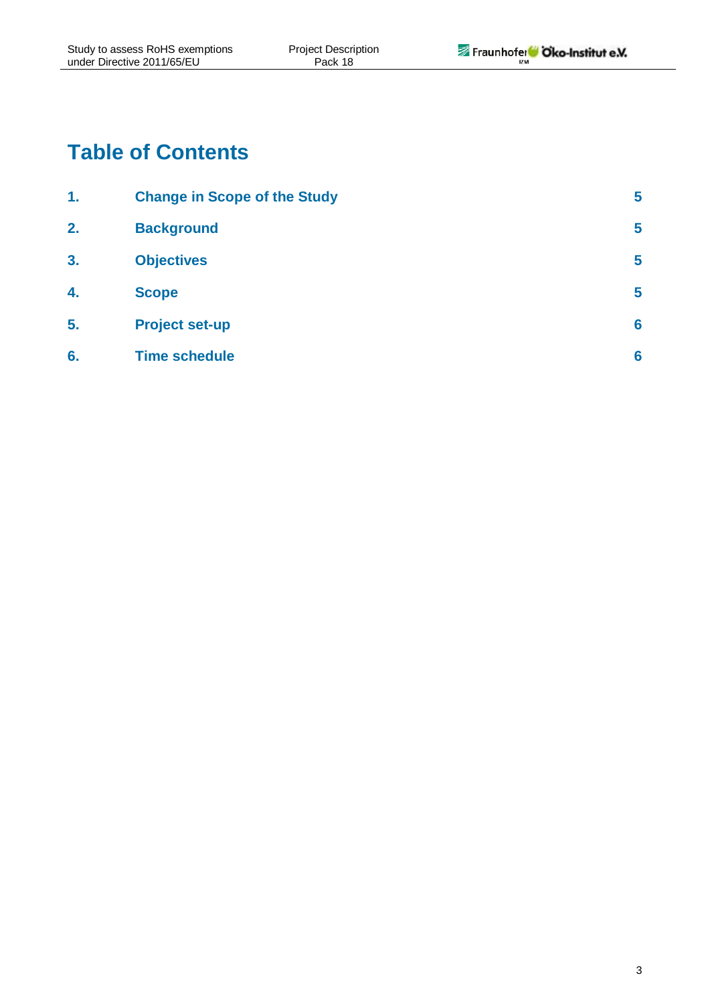# **Table of Contents**

| 1. | <b>Change in Scope of the Study</b> | 5 |
|----|-------------------------------------|---|
| 2. | <b>Background</b>                   | 5 |
| 3. | <b>Objectives</b>                   | 5 |
| 4. | <b>Scope</b>                        | 5 |
| 5. | <b>Project set-up</b>               | 6 |
| 6. | <b>Time schedule</b>                | 6 |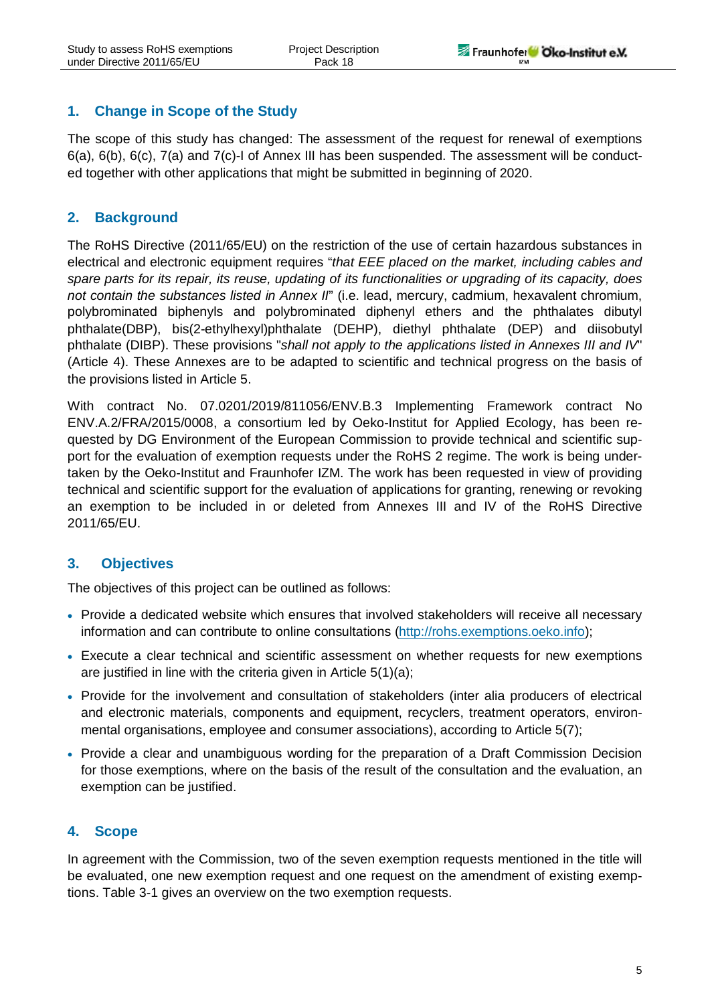# <span id="page-4-0"></span>**1. Change in Scope of the Study**

The scope of this study has changed: The assessment of the request for renewal of exemptions 6(a), 6(b), 6(c), 7(a) and 7(c)-I of Annex III has been suspended. The assessment will be conducted together with other applications that might be submitted in beginning of 2020.

## <span id="page-4-1"></span>**2. Background**

The RoHS Directive (2011/65/EU) on the restriction of the use of certain hazardous substances in electrical and electronic equipment requires "*that EEE placed on the market, including cables and spare parts for its repair, its reuse, updating of its functionalities or upgrading of its capacity, does not contain the substances listed in Annex II*" (i.e. lead, mercury, cadmium, hexavalent chromium, polybrominated biphenyls and polybrominated diphenyl ethers and the phthalates dibutyl phthalate(DBP), bis(2-ethylhexyl)phthalate (DEHP), diethyl phthalate (DEP) and diisobutyl phthalate (DIBP). These provisions "*shall not apply to the applications listed in Annexes III and IV*" (Article 4). These Annexes are to be adapted to scientific and technical progress on the basis of the provisions listed in Article 5.

With contract No. 07.0201/2019/811056/ENV.B.3 Implementing Framework contract No ENV.A.2/FRA/2015/0008, a consortium led by Oeko-Institut for Applied Ecology, has been requested by DG Environment of the European Commission to provide technical and scientific support for the evaluation of exemption requests under the RoHS 2 regime. The work is being undertaken by the Oeko-Institut and Fraunhofer IZM. The work has been requested in view of providing technical and scientific support for the evaluation of applications for granting, renewing or revoking an exemption to be included in or deleted from Annexes III and IV of the RoHS Directive 2011/65/EU.

### <span id="page-4-2"></span>**3. Objectives**

The objectives of this project can be outlined as follows:

- Provide a dedicated website which ensures that involved stakeholders will receive all necessary information and can contribute to online consultations [\(http://rohs.exemptions.oeko.info\)](http://rohs.exemptions.oeko.info/);
- Execute a clear technical and scientific assessment on whether requests for new exemptions are justified in line with the criteria given in Article 5(1)(a):
- Provide for the involvement and consultation of stakeholders (inter alia producers of electrical and electronic materials, components and equipment, recyclers, treatment operators, environmental organisations, employee and consumer associations), according to Article 5(7);
- Provide a clear and unambiguous wording for the preparation of a Draft Commission Decision for those exemptions, where on the basis of the result of the consultation and the evaluation, an exemption can be justified.

# <span id="page-4-3"></span>**4. Scope**

In agreement with the Commission, two of the seven exemption requests mentioned in the title will be evaluated, one new exemption request and one request on the amendment of existing exemptions. [Table 3-1](#page-5-2) gives an overview on the two exemption requests.